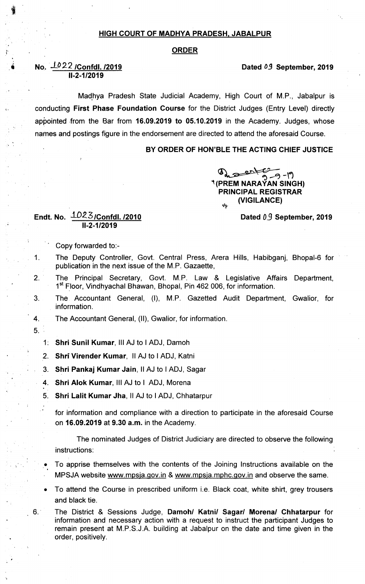### HIGH COURT OF MADHYA PRADESH. JABALPUR

#### ORDER

# No. 1022 /Confdl. /2019 IJ-2-1/2olg

Madhya Pradesh State Judicial Academy, High Court of M.P., Jabalpur is conducting First Phase Foundation Course for the District Judges (Entry Level) directly appointed from the Bar from 16.09.2019 to 05.10.2019 in the Academy. Judges, whose names and postings figure in the endorsement are directed to attend the aforesaid Course.

## BY ORDER OF HON'BLE THE ACTING CHIEF JUSTICE

 $0<sub>n</sub>$  and  $-9-19$ i (PREM NARAYAN SINGH) PRINCIPAL REGISTRAR dtr (VIGILANCE)

#### Dated 09 September, 2019

Dated OJ September, 2019

## Endt. No. 1D23/Confdl. /2010 ll-2-1/2olg

Copy forwarded to:-

- 1. The Deputy Controller, Govt. Central Press, Arera Hills, Habibganj, Bhopal-6 for publication in the next issue of the M.P. Gazaette,
- 2. The Principal Secretary, Govt. M.P. Law & Legislative Affairs Department, 1<sup>st</sup> Floor, Vindhyachal Bhawan, Bhopal, Pin 462 006, for information.
- 3. The Accountant General, (I), M.P. Gazetted Audit Department, Gwalior, for information.
- 4. The Accountant General, (Il), Gwalior, for information.
- 5.
	- 1: Shri Sunil Kumar, III AJ to I ADJ, Damoh
	- 2. Shri Virender Kumar, II AJ to I ADJ, Katni
	- 3. Shri Pankaj Kumar Jain; 11 AJ to I ADJ, Sagar
	- 4. Shri Alok Kumar, III AJ to I ADJ, Morena
	- 5. Shri Lalit Kumar Jha,11 AJ to I ADJ, Chhatarpur

for information and compliance with a direction to participate in the aforesaid Course on 16.09.2019 at 9.30 a.m. in the Academy.

The nominated Judges of District Judiciary are directed to observe the following instructions:

To apprise themselves with the contents of the Joining Instructions available on the MPSJA website www.mpsia.gov.in & www.mpsia.mphc.gov.in and observe the same.

- To attend the Course in prescribed uniform i.e. Black coat, white shirt, grey trousers and black tie.
- 6.. The District & Sessions Judge, Damoh/ Katni/ Sagar/ Morena/ Chhatarpur for information and necessary action with a request to instruct the participant Judges to remain present at M.P.S.J.A. building at Jabalpur on the date and time given in the order, positively.